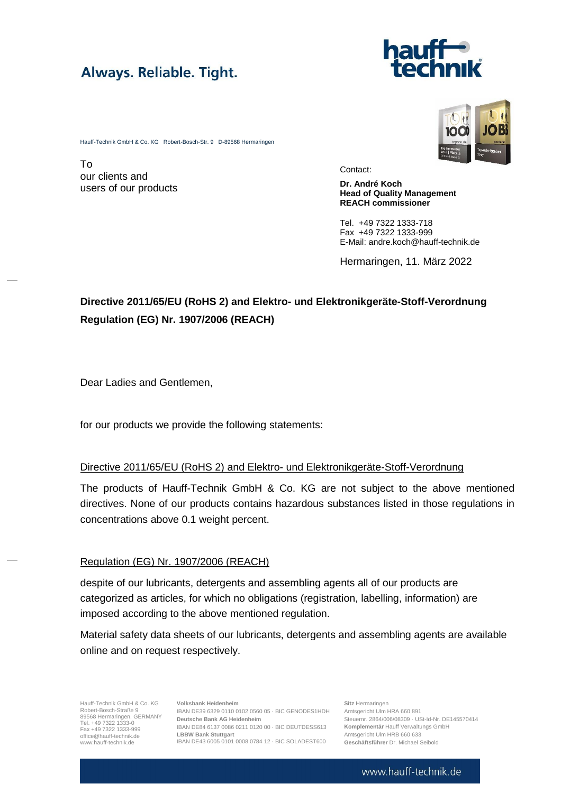# Always. Reliable. Tight.



Hauff-Technik GmbH & Co. KG Robert-Bosch-Str. 9 D-89568 Hermaringen

To our clients and users of our products

Contact:

**Dr. André Koch Head of Quality Management REACH commissioner**

Tel. +49 7322 1333-718 Fax +49 7322 1333-999 E-Mail: andre.koch@hauff-technik.de

Hermaringen, 11. März 2022

### **Directive 2011/65/EU (RoHS 2) and Elektro- und Elektronikgeräte-Stoff-Verordnung Regulation (EG) Nr. 1907/2006 (REACH)**

Dear Ladies and Gentlemen,

for our products we provide the following statements:

#### Directive 2011/65/EU (RoHS 2) and Elektro- und Elektronikgeräte-Stoff-Verordnung

The products of Hauff-Technik GmbH & Co. KG are not subject to the above mentioned directives. None of our products contains hazardous substances listed in those regulations in concentrations above 0.1 weight percent.

#### Regulation (EG) Nr. 1907/2006 (REACH)

despite of our lubricants, detergents and assembling agents all of our products are categorized as articles, for which no obligations (registration, labelling, information) are imposed according to the above mentioned regulation.

Material safety data sheets of our lubricants, detergents and assembling agents are available online and on request respectively.

Hauff-Technik GmbH & Co. KG Hauff-Technik GmbH & Co. KG<br>Robert-Bosch-Straße 9<br>89568 Hermaringen, GERMANY Tel. +49 7322 1333-0 Fax +49 7322 1333-999 [office@hauff-technik.de](mailto:office@hauff-technik.de) www.hauff-technik.de

**Volksbank Heidenheim** IBAN DE39 6329 0110 0102 0560 05 · BIC GENODES1HDH **Deutsche Bank AG Heidenheim** IBAN DE84 6137 0086 0211 0120 00 · BIC DEUTDESS613 **LBBW Bank Stuttgart** IBAN DE43 6005 0101 0008 0784 12 · BIC SOLADEST600

**Sitz** Hermaringen Amtsgericht Ulm HRA 660 891 Steuernr. 2864/006/08309 · USt-Id-Nr. DE145570414 **Komplementär** Hauff Verwaltungs GmbH Amtsgericht Ulm HRB 660 633 **Geschäftsführer** Dr. Michael Seibold

#### www.hauff-technik.de